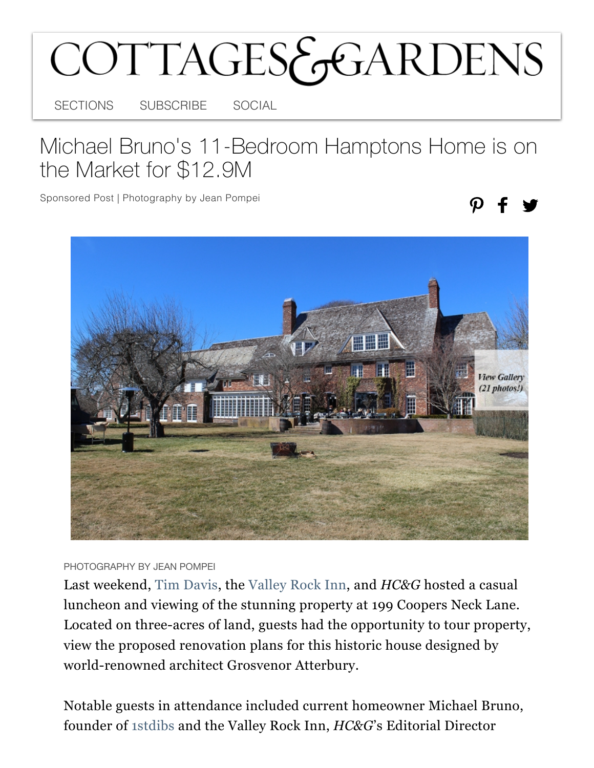## COTTAGES&GARDENS

SECTIONS SUBSCRIBE SOCIAL

## Michael Bruno's 11-Bedroom Hamptons Home is on the Market for \$12.9M

Sponsored Post | Photography by Jean Pompei



PHOTOGRAPHY BY JEAN POMPEI

Last weekend, [Tim Davis,](https://timdavishamptons.com/199-coopers-neck-lane/) the [Valley Rock Inn,](https://valleyrockinn.com/) and *HC&G* hosted a casual luncheon and viewing of the stunning property at 199 Coopers Neck Lane. Located on three-acres of land, guests had the opportunity to tour property, view the proposed renovation plans for this historic house designed by world-renowned architect Grosvenor Atterbury.

Notable guests in attendance included current homeowner Michael Bruno, founder of [1stdibs](https://www.1stdibs.com/) and the Valley Rock Inn, *HC&G*'s Editorial Director